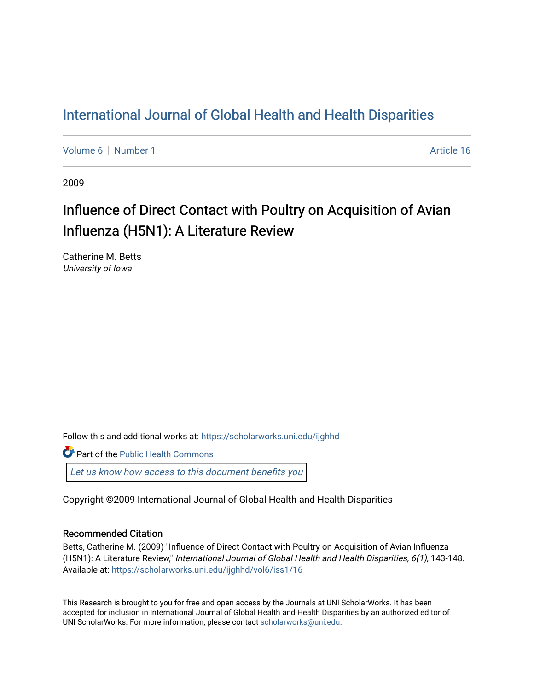# [International Journal of Global Health and Health Disparities](https://scholarworks.uni.edu/ijghhd)

[Volume 6](https://scholarworks.uni.edu/ijghhd/vol6) | [Number 1](https://scholarworks.uni.edu/ijghhd/vol6/iss1) Article 16

2009

# Influence of Direct Contact with Poultry on Acquisition of Avian Influenza (H5N1): A Literature Review

Catherine M. Betts University of Iowa

Follow this and additional works at: [https://scholarworks.uni.edu/ijghhd](https://scholarworks.uni.edu/ijghhd?utm_source=scholarworks.uni.edu%2Fijghhd%2Fvol6%2Fiss1%2F16&utm_medium=PDF&utm_campaign=PDFCoverPages)

**C** Part of the Public Health Commons

Let us know how access to this document benefits you

Copyright ©2009 International Journal of Global Health and Health Disparities

## Recommended Citation

Betts, Catherine M. (2009) "Influence of Direct Contact with Poultry on Acquisition of Avian Influenza (H5N1): A Literature Review," International Journal of Global Health and Health Disparities, 6(1), 143-148. Available at: [https://scholarworks.uni.edu/ijghhd/vol6/iss1/16](https://scholarworks.uni.edu/ijghhd/vol6/iss1/16?utm_source=scholarworks.uni.edu%2Fijghhd%2Fvol6%2Fiss1%2F16&utm_medium=PDF&utm_campaign=PDFCoverPages)

This Research is brought to you for free and open access by the Journals at UNI ScholarWorks. It has been accepted for inclusion in International Journal of Global Health and Health Disparities by an authorized editor of UNI ScholarWorks. For more information, please contact [scholarworks@uni.edu.](mailto:scholarworks@uni.edu)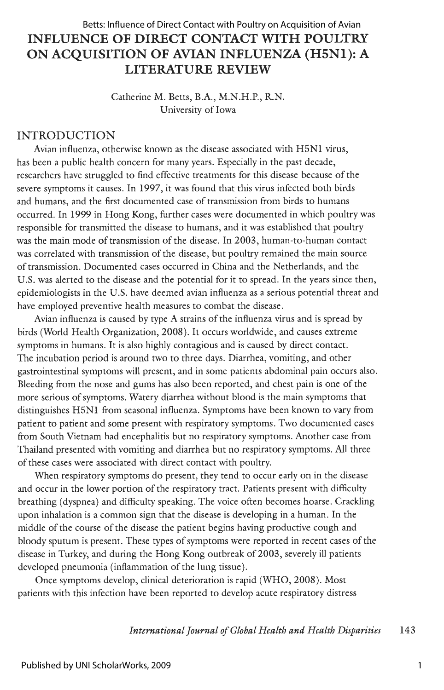# **INFLUENCE OF DIRECT CONTACT WITH POULTRY ON ACQUISITION OF AVIAN INFLUENZA (H5Nl): A LITERATURE REVIEW**  Betts: Influence of Direct Contact with Poultry on Acquisition of Avian

Catherine M. Betts, B.A., M.N.H.P., R.N. University of Iowa

# INTRODUCTION

Avian influenza, otherwise known as the disease associated with HSNl virus, has been a public health concern for many years. Especially in the past decade, researchers have struggled to find effective treatments for this disease because of the severe symptoms it causes. In 1997, it was found that this virus infected both birds and humans, and the first documented case of transmission from birds to humans occurred. In 1999 in Hong Kong, further cases were documented in which poultry was responsible for transmitted the disease to humans, and it was established that poultry was the main mode of transmission of the disease. In 2003, human-to-human contact was correlated with transmission of the disease, but poultry remained the main source of transmission. Documented cases occurred in China and the Netherlands, and the U.S. was alerted to the disease and the potential for it to spread. In the years since then, epidemiologists in the U.S. have deemed avian influenza as a serious potential threat and have employed preventive health measures to combat the disease.

Avian influenza is caused by type A strains of the influenza virus and is spread by birds (World Health Organization, 2008). It occurs worldwide, and causes extreme symptoms in humans. It is also highly contagious and is caused by direct contact. The incubation period is around two to three days. Diarrhea, vomiting, and other gastrointestinal symptoms will present, and in some patients abdominal pain occurs also. Bleeding from the nose and gums has also been reported, and chest pain is one of the more serious of symptoms. Watery diarrhea without blood is the main symptoms that distinguishes HSNl from seasonal influenza. Symptoms have been known to vary from patient to patient and some present with respiratory symptoms. Two documented cases from South Vietnam had encephalitis but no respiratory symptoms. Another case from Thailand presented with vomiting and diarrhea but no respiratory symptoms. All three of these cases were associated with direct contact with poultry.

When respiratory symptoms do present, they tend to occur early on in the disease and occur in the lower portion of the respiratory tract. Patients present with difficulty breathing (dyspnea) and difficulty speaking. The voice often becomes hoarse. Crackling upon inhalation is a common sign that the disease is developing in a human. In the middle of the course of the disease the patient begins having productive cough and bloody sputum is present. These types of symptoms were reported in recent cases of the disease in Turkey, and during the Hong Kong outbreak of 2003, severely ill patients developed pneumonia (inflammation of the lung tissue).

Once symptoms develop, clinical deterioration is rapid (WHO, 2008). Most patients with this infection have been reported to develop acute respiratory distress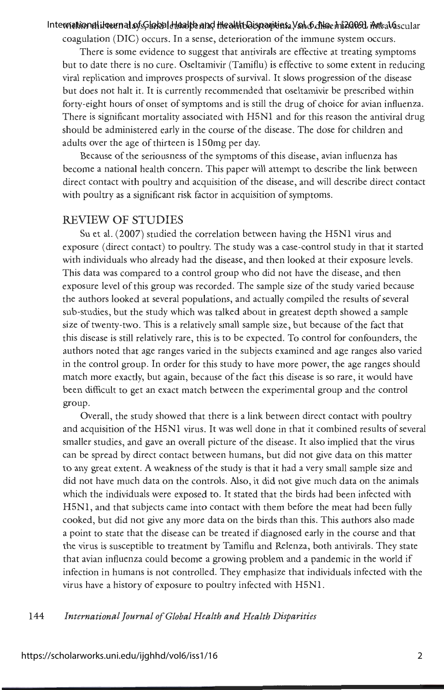#### International ikeurnal of Global Health and Health Disparities a Vol. 6, No. 1 h2009], Art. 16. scular

coagulation (DIC) occurs. In a sense, deterioration of the immune system occurs.

There is some evidence to suggest that antivirals are effective at treating symptoms but to date there is no cure. Oseltamivir (Tamiflu) is effective to some extent in reducing viral replication and improves prospects of survival. It slows progression of the disease but does not halt it. It is currently recommended that oseltamivir be prescribed within forty-eight hours of onset of symptoms and is still the drug of choice for avian influenza. There is significant mortality associated with H5Nl and for this reason the antiviral drug should be administered early in the course of the disease. The dose for children and adults over the age of thirteen is 150mg per day.

Because of the seriousness of the symptoms of this disease, avian influenza has become a national health concern. This paper will attempt to describe the link between direct contact with poultry and acquisition of the disease, and will describe direct contact with poultry as a significant risk factor in acquisition of symptoms.

### REVIEW OF STUDIES

Su et al. (2007) studied the correlation between having the H5N1 virus and exposure ( direct contact) to poultry. The study was a case-control study in that it started with individuals who already had the disease, and then looked at their exposure levels. This data was compared to a control group who did not have the disease, and then exposure level of this group was recorded. The sample size of the study varied because the authors looked at several populations, and actually compiled the results of several sub-studies, but the study which was talked about in greatest depth showed a sample size of twenty-two. This is a relatively small sample size, but because of the fact that this disease is still relatively rare, this is to be expected. To control for confounders, the authors noted that age ranges varied in the subjects examined and age ranges also varied in the control group. In order for this study to have more power, the age ranges should match more exactly, but again, because of the fact this disease is so rare, it would have been difficult to get an exact match between the experimental group and the control group.

Overall, the study showed that there is a link between direct contact with poultry and acquisition of the H5Nl virus. It was well done in that it combined results of several smaller studies, and gave an overall picture of the disease. It also implied that the virus can be spread by direct contact between humans, but did not give data on this matter to any great extent. A weakness of the study is that it had a very small sample size and did not have much data on the controls. Also, it did not give much data on the animals which the individuals were exposed to. It stated that the birds had been infected with H5Nl, and that subjects came into contact with them before the meat had been fully cooked, but did not give any more data on the birds than this. This authors also made a point to state that the disease can be treated if diagnosed early in the course and that the virus is susceptible to treatment by Tamiflu and Relenza, both antivirals. They state that avian influenza could become a growing problem and a pandemic in the world if infection in humans is not controlled. They emphasize that individuals infected with the virus have a history of exposure to poultry infected with H5Nl.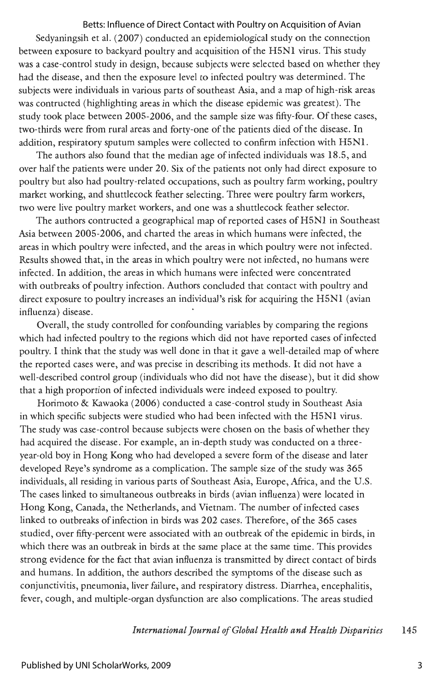### Betts: Influence of Direct Contact with Poultry on Acquisition of Avian

Sedyaningsih et al. (2007) conducted an epidemiological study on the connection between exposure to backyard poultry and acquisition of the H5Nl virus. This study was a case-control study in design, because subjects were selected based on whether they had the disease, and then the exposure level to infected poultry was determined. The subjects were individuals in various parts of southeast Asia, and a map of high-risk areas was contructed (highlighting areas in which the disease epidemic was greatest). The study took place between 2005-2006, and the sample size was fifty-four. Of these cases, two-thirds were from rural areas and forty-one of the patients died of the disease. In addition, respiratory sputum samples were collected to confirm infection with H5Nl.

The authors also found that the median age of infected individuals was 18.5, and over half the patients were under 20. Six of the patients not only had direct exposure to poultry but also had poultry-related occupations, such as poultry farm working, poultry market working, and shuttlecock feather selecting. Three were poultry farm workers, two were live poultry market workers, and one was a shuttlecock feather selector.

The authors contructed a geographical map of reported cases of H5Nl in Southeast Asia between 2005-2006, and charted the areas in which humans were infected, the areas in which poultry were infected, and the areas in which poultry were not infected. Results showed that, in the areas in which poultry were not infected, no humans were infected. In addition, the areas in which humans were infected were concentrated with outbreaks of poultry infection. Authors concluded that contact with poultry and direct exposure to poultry increases an individual's risk for acquiring the H5Nl (avian influenza) disease .

Overall, the study controlled for confounding variables by comparing the regions which had infected poultry to the regions which did not have reported cases of infected poultry. I think that the study was well done in that it gave a well-detailed map of where the reported cases were, and was precise in describing its methods. It did not have a well-described control group (individuals who did not have the disease), but it did show that a high proportion of infected individuals were indeed exposed to poultry.

Horimoto & Kawaoka (2006) conducted a case-control study in Southeast Asia in which specific subjects were studied who had been infected with the H5Nl virus. The study was case-control because subjects were chosen on the basis of whether they had acquired the disease. For example, an in-depth study was conducted on a threeyear-old boy in Hong Kong who had developed a severe form of the disease and later developed Reye's syndrome as a complication. The sample size of the study was 365 individuals, all residing in various parts of Southeast Asia, Europe, Africa, and the U.S. The cases linked to simultaneous outbreaks in birds (avian influenza) were located in Hong Kong, Canada, the Netherlands, and Vietnam. The number of infected cases linked to outbreaks of infection in birds was 202 cases. Therefore, of the 365 cases studied, over fifty-percent were associated with an outbreak of the epidemic in birds, in which there was an outbreak in birds at the same place at the same time. This provides strong evidence for the fact that avian influenza is transmitted by direct contact of birds and humans. In addition, the authors described the symptoms of the disease such as conjunctivitis, pneumonia, liver failure, and respiratory distress. Diarrhea, encephalitis, fever, cough, and multiple-organ dysfunction are also complications. The areas studied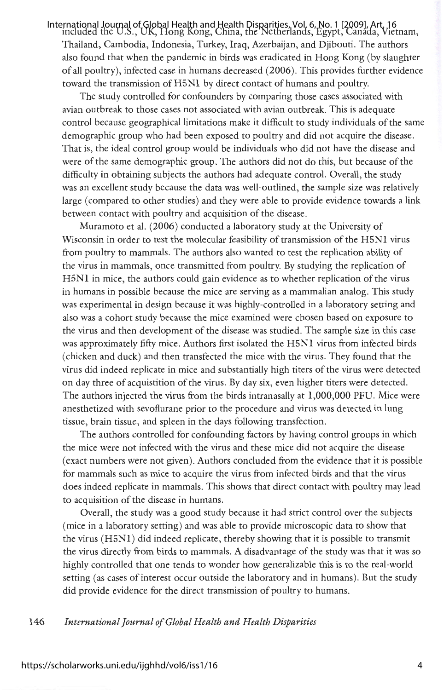International Journal of Global Health and Health Disparities, Vol. 6, No. 1 [2009], Art. 16<br>included the U.S., UK, Hong Kong, China, the Netherlands, Egypt, Canada, Vietnam, Thailand, Cambodia, Indonesia, Turkey, Iraq, Azerbaijan, and Djibouti. The authors also found that when the pandemic in birds was eradicated in Hong Kong (by slaughter of all poultry), infected case in humans decreased (2006). This provides further evidence toward the transmission of H5Nl by direct contact of humans and poultry.

The study controlled for confounders by comparing those cases associated with avian outbreak to those cases not associated with avian outbreak. This is adequate control because geographical limitations make it difficult to study individuals of the same demographic group who had been exposed to poultry and did not acquire the disease . That is, the ideal control group would be individuals who did not have the disease and were of the same demographic group. The authors did not do this, but because of the difficulty in obtaining subjects the authors had adequate control. Overall, the study was an excellent study because the data was well-outlined, the sample size was relatively large ( compared to other studies) and they were able to provide evidence towards a link between contact with poultry and acquisition of the disease.

Muramoto et al. (2006) conducted a laboratory study at the University of Wisconsin in order to test the molecular feasibility of transmission of the HSNl virus from poultry to mammals. The authors also wanted to test the replication ability of the virus in mammals, once transmitted from poultry. By studying the replication of H5Nl in mice, the authors could gain evidence as to whether replication of the virus in humans in possible because the mice are serving as a mammalian analog. This study was experimental in design because it was highly-controlled in a laboratory setting and also was a cohort study because the mice examined were chosen based on exposure to the virus and then development of the disease was studied. The sample size in this case was approximately fifty mice. Authors first isolated the HSNl virus from infected birds ( chicken and duck) and then transfected the mice with the virus. They found that the virus did indeed replicate in mice and substantially high titers of the virus were detected on day three of acquistition of the virus. By day six, even higher titers were detected. The authors injected the virus from the birds intranasally at 1,000,000 PFU. Mice were anesthetized with sevoflurane prior to the procedure and virus was detected in lung tissue, brain tissue, and spleen in the days following transfection.

The authors controlled for confounding factors by having control groups in which the mice were not infected with the virus and these mice did not acquire the disease ( exact numbers were not given). Authors concluded from the evidence that it is possible for mammals such as mice to acquire the virus from infected birds and that the virus does indeed replicate in mammals. This shows that direct contact with poultry may lead to acquisition of the disease in humans.

Overall, the study was a good study because it had strict control over the subjects (mice in a laboratory setting) and was able to provide microscopic data to show that the virus (H5Nl) did indeed replicate, thereby showing that it is possible to transmit the virus directly from birds to mammals. A disadvantage of the study was that it was so highly controlled that one tends to wonder how generalizable this is to the real-world setting ( as cases of interest occur outside the laboratory and in humans). But the study did provide evidence for the direct transmission of poultry to humans.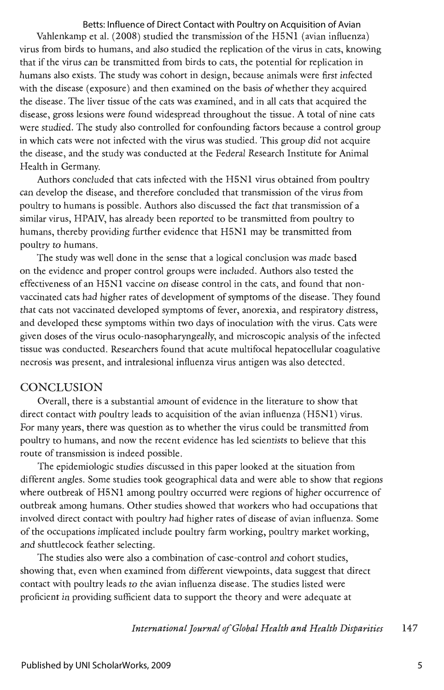# Betts: Influence of Direct Contact with Poultry on Acquisition of Avian

Vahlenkamp et al. (2008) studied the transmission of the H5Nl (avian influenza) virus from birds to humans, and also studied the replication of the virus in cats, knowing that if the virus can be transmitted from birds to cats, the potential for replication in humans also exists. The study was cohort in design, because animals were first infected with the disease (exposure) and then examined on the basis of whether they acquired the disease. The liver tissue of the cats was examined, and in all cats that acquired the disease, gross lesions were found widespread throughout the tissue. A total of nine cats were studied. The study also controlled for confounding factors because a control group in which cats were not infected with the virus was studied. This group did not acquire the disease, and the study was conducted at the Federal Research Institute for Animal Health in Germany.

Authors concluded that cats infected with the H5Nl virus obtained from poultry can develop the disease, and therefore concluded that transmission of the virus from poultry to humans is possible. Authors also discussed the fact that transmission of a similar virus, HPAIV, has already been reported to be transmitted from poultry to humans, thereby providing further evidence that H5Nl may be transmitted from poultry to humans.

The study was well done in the sense that a logical conclusion was made based on the evidence and proper control groups were included. Authors also tested the effectiveness of an H5Nl vaccine on disease control in the cats, and found that nonvaccinated cats had higher rates of development of symptoms of the disease . They found that cats not vaccinated developed symptoms of fever, anorexia, and respiratory distress, and developed these symptoms within two days of inoculation with the virus. Cats were given doses of the virus oculo-nasopharyngeally, and microscopic analysis of the infected tissue was conducted. Researchers found that acute multifocal hepatocellular coagulative necrosis was present, and intralesional influenza virus antigen was also detected.

# **CONCLUSION**

Overall, there is a substantial amount of evidence in the literature to show that direct contact with poultry leads to acquisition of the avian influenza (H5Nl) virus. For many years, there was question as to whether the virus could be transmitted from poultry to humans, and now the recent evidence has led scientists to believe that this route of transmission is indeed possible.

The epidemiologic studies discussed in this paper looked at the situation from different angles. Some studies took geographical data and were able to show that regions where outbreak of H5N1 among poultry occurred were regions of higher occurrence of outbreak among humans. Other studies showed that workers who had occupations that involved direct contact with poultry had higher rates of disease of avian influenza. Some of the occupations implicated include poultry farm working, poultry market working, and shuttlecock feather selecting.

The studies also were also a combination of case-control and cohort studies, showing that, even when examined from different viewpoints, data suggest that direct contact with poultry leads to the avian influenza disease. The studies listed were proficient in providing sufficient data to support the theory and were adequate at